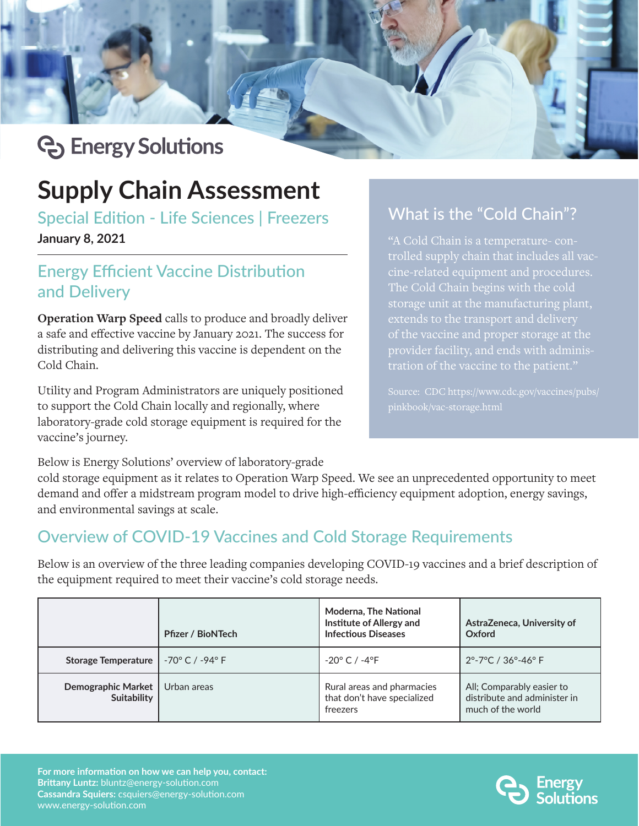# **C** Energy Solutions

## **Supply Chain Assessment**

Special Edition - Life Sciences | Freezers **January 8, 2021**

### Energy Efficient Vaccine Distribution and Delivery

**Operation Warp Speed** calls to produce and broadly deliver a safe and effective vaccine by January 2021. The success for distributing and delivering this vaccine is dependent on the Cold Chain.

Utility and Program Administrators are uniquely positioned to support the Cold Chain locally and regionally, where laboratory-grade cold storage equipment is required for the vaccine's journey.

# What is the "Cold Chain"?

"A Cold Chain is a temperature- controlled supply chain that includes all vaccine-related equipment and procedures. The Cold Chain begins with the cold storage unit at the manufacturing plant, of the vaccine and proper storage at the provider facility, and ends with adminis-

Below is Energy Solutions' overview of laboratory-grade

cold storage equipment as it relates to Operation Warp Speed. We see an unprecedented opportunity to meet demand and offer a midstream program model to drive high-efficiency equipment adoption, energy savings, and environmental savings at scale.

## Overview of COVID-19 Vaccines and Cold Storage Requirements

Below is an overview of the three leading companies developing COVID-19 vaccines and a brief description of the equipment required to meet their vaccine's cold storage needs.

|                                   | <b>Pfizer / BioNTech</b> | <b>Moderna, The National</b><br>Institute of Allergy and<br><b>Infectious Diseases</b> | AstraZeneca, University of<br>Oxford                                           |
|-----------------------------------|--------------------------|----------------------------------------------------------------------------------------|--------------------------------------------------------------------------------|
| <b>Storage Temperature</b>        | -70° C / -94° F l        | $-20^{\circ}$ C / $-4^{\circ}$ F                                                       | $2^{\circ}$ -7°C / 36°-46° F                                                   |
| Demographic Market<br>Suitability | Urban areas              | Rural areas and pharmacies<br>that don't have specialized<br>freezers                  | All; Comparably easier to<br>distribute and administer in<br>much of the world |